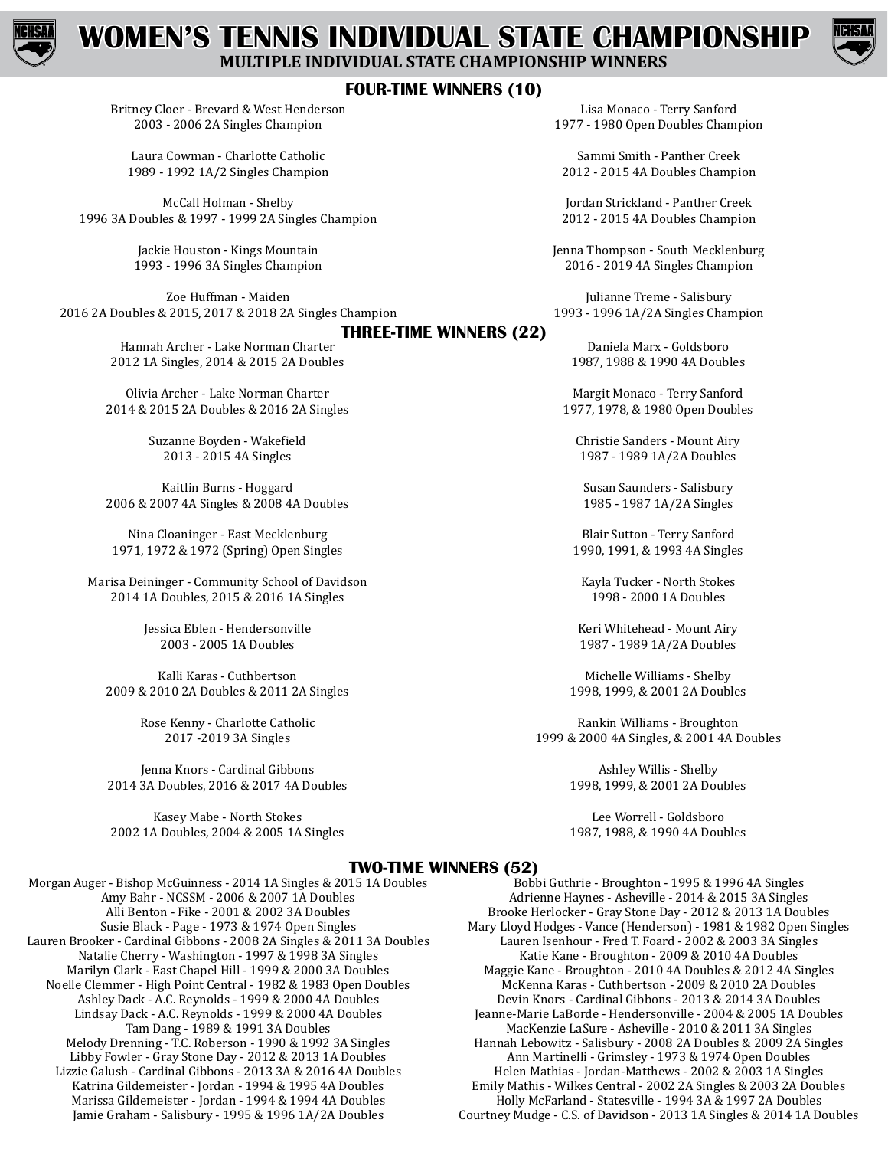

# **WOMEN'S TENNIS INDIVIDUAL STATE CHAMPIONSHIP MULTIPLE INDIVIDUAL STATE CHAMPIONSHIP WINNERS**



### **FOUR-TIME WINNERS (10)**

Britney Cloer - Brevard & West Henderson 2003 - 2006 2A Singles Champion

Laura Cowman - Charlotte Catholic 1989 - 1992 1A/2 Singles Champion

McCall Holman - Shelby 1996 3A Doubles & 1997 - 1999 2A Singles Champion

> Jackie Houston - Kings Mountain 1993 - 1996 3A Singles Champion

Zoe Huffman - Maiden 2016 2A Doubles & 2015, 2017 & 2018 2A Singles Champion

#### **THREE-TIME WINNERS (22)**

Hannah Archer - Lake Norman Charter 2012 1A Singles, 2014 & 2015 2A Doubles

Olivia Archer - Lake Norman Charter 2014 & 2015 2A Doubles & 2016 2A Singles

> Suzanne Boyden - Wakefield 2013 - 2015 4A Singles

Kaitlin Burns - Hoggard 2006 & 2007 4A Singles & 2008 4A Doubles

Nina Cloaninger - East Mecklenburg 1971, 1972 & 1972 (Spring) Open Singles

Marisa Deininger - Community School of Davidson 2014 1A Doubles, 2015 & 2016 1A Singles

> Jessica Eblen - Hendersonville 2003 - 2005 1A Doubles

Kalli Karas - Cuthbertson 2009 & 2010 2A Doubles & 2011 2A Singles

> Rose Kenny - Charlotte Catholic 2017 -2019 3A Singles

Jenna Knors - Cardinal Gibbons 2014 3A Doubles, 2016 & 2017 4A Doubles

Kasey Mabe - North Stokes 2002 1A Doubles, 2004 & 2005 1A Singles

Lisa Monaco - Terry Sanford 1977 - 1980 Open Doubles Champion

Sammi Smith - Panther Creek 2012 - 2015 4A Doubles Champion

Jordan Strickland - Panther Creek 2012 - 2015 4A Doubles Champion

Jenna Thompson - South Mecklenburg 2016 - 2019 4A Singles Champion

Julianne Treme - Salisbury 1993 - 1996 1A/2A Singles Champion

Daniela Marx - Goldsboro 1987, 1988 & 1990 4A Doubles

Margit Monaco - Terry Sanford 1977, 1978, & 1980 Open Doubles

Christie Sanders - Mount Airy 1987 - 1989 1A/2A Doubles

Susan Saunders - Salisbury 1985 - 1987 1A/2A Singles

Blair Sutton - Terry Sanford 1990, 1991, & 1993 4A Singles

Kayla Tucker - North Stokes 1998 - 2000 1A Doubles

Keri Whitehead - Mount Airy 1987 - 1989 1A/2A Doubles

Michelle Williams - Shelby 1998, 1999, & 2001 2A Doubles

Rankin Williams - Broughton 1999 & 2000 4A Singles, & 2001 4A Doubles

> Ashley Willis - Shelby 1998, 1999, & 2001 2A Doubles

> Lee Worrell - Goldsboro 1987, 1988, & 1990 4A Doubles

#### **TWO-TIME WINNERS (52)**

Morgan Auger - Bishop McGuinness - 2014 1A Singles & 2015 1A Doubles Amy Bahr - NCSSM - 2006 & 2007 1A Doubles Alli Benton - Fike - 2001 & 2002 3A Doubles Susie Black - Page - 1973 & 1974 Open Singles Lauren Brooker - Cardinal Gibbons - 2008 2A Singles & 2011 3A Doubles Natalie Cherry - Washington - 1997 & 1998 3A Singles Marilyn Clark - East Chapel Hill - 1999 & 2000 3A Doubles Noelle Clemmer - High Point Central - 1982 & 1983 Open Doubles Ashley Dack - A.C. Reynolds - 1999 & 2000 4A Doubles Lindsay Dack - A.C. Reynolds - 1999 & 2000 4A Doubles Tam Dang - 1989 & 1991 3A Doubles Melody Drenning - T.C. Roberson - 1990 & 1992 3A Singles Libby Fowler - Gray Stone Day - 2012 & 2013 1A Doubles Lizzie Galush - Cardinal Gibbons - 2013 3A & 2016 4A Doubles Katrina Gildemeister - Jordan - 1994 & 1995 4A Doubles Marissa Gildemeister - Jordan - 1994 & 1994 4A Doubles Jamie Graham - Salisbury - 1995 & 1996 1A/2A Doubles

Bobbi Guthrie - Broughton - 1995 & 1996 4A Singles Adrienne Haynes - Asheville - 2014 & 2015 3A Singles Brooke Herlocker - Gray Stone Day - 2012 & 2013 1A Doubles Mary Lloyd Hodges - Vance (Henderson) - 1981 & 1982 Open Singles Lauren Isenhour - Fred T. Foard - 2002 & 2003 3A Singles Katie Kane - Broughton - 2009 & 2010 4A Doubles Maggie Kane - Broughton - 2010 4A Doubles & 2012 4A Singles McKenna Karas - Cuthbertson - 2009 & 2010 2A Doubles Devin Knors - Cardinal Gibbons - 2013 & 2014 3A Doubles Jeanne-Marie LaBorde - Hendersonville - 2004 & 2005 1A Doubles MacKenzie LaSure - Asheville - 2010 & 2011 3A Singles Hannah Lebowitz - Salisbury - 2008 2A Doubles & 2009 2A Singles Ann Martinelli - Grimsley - 1973 & 1974 Open Doubles Helen Mathias - Jordan-Matthews - 2002 & 2003 1A Singles Emily Mathis - Wilkes Central - 2002 2A Singles & 2003 2A Doubles Holly McFarland - Statesville - 1994 3A & 1997 2A Doubles Courtney Mudge - C.S. of Davidson - 2013 1A Singles & 2014 1A Doubles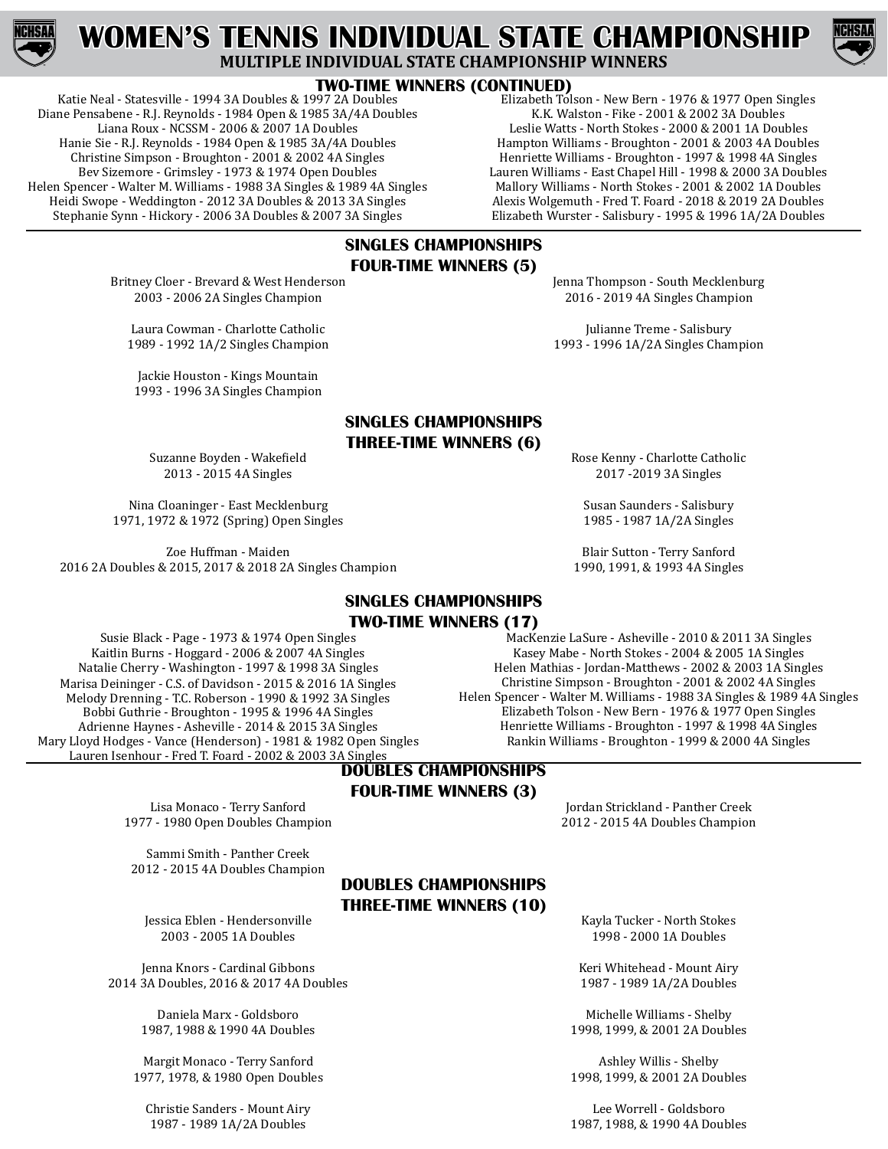

# **WOMEN'S TENNIS INDIVIDUAL STATE CHAMPIONSHIP MULTIPLE INDIVIDUAL STATE CHAMPIONSHIP WINNERS**



#### **TWO-TIME WINNERS (CONTINUED)**

Katie Neal - Statesville - 1994 3A Doubles & 1997 2A Doubles Diane Pensabene - R.J. Reynolds - 1984 Open & 1985 3A/4A Doubles Liana Roux - NCSSM - 2006 & 2007 1A Doubles Hanie Sie - R.J. Reynolds - 1984 Open & 1985 3A/4A Doubles Christine Simpson - Broughton - 2001 & 2002 4A Singles Bev Sizemore - Grimsley - 1973 & 1974 Open Doubles Helen Spencer - Walter M. Williams - 1988 3A Singles & 1989 4A Singles Heidi Swope - Weddington - 2012 3A Doubles & 2013 3A Singles Stephanie Synn - Hickory - 2006 3A Doubles & 2007 3A Singles

Elizabeth Tolson - New Bern - 1976 & 1977 Open Singles K.K. Walston - Fike - 2001 & 2002 3A Doubles Leslie Watts - North Stokes - 2000 & 2001 1A Doubles Hampton Williams - Broughton - 2001 & 2003 4A Doubles Henriette Williams - Broughton - 1997 & 1998 4A Singles Lauren Williams - East Chapel Hill - 1998 & 2000 3A Doubles Mallory Williams - North Stokes - 2001 & 2002 1A Doubles Alexis Wolgemuth - Fred T. Foard - 2018 & 2019 2A Doubles

#### **SINGLES CHAMPIONSHIPS FOUR-TIME WINNERS (5)**

Britney Cloer - Brevard & West Henderson 2003 - 2006 2A Singles Champion

Laura Cowman - Charlotte Catholic 1989 - 1992 1A/2 Singles Champion

Jackie Houston - Kings Mountain 1993 - 1996 3A Singles Champion

# **SINGLES CHAMPIONSHIPS THREE-TIME WINNERS (6)**

Suzanne Boyden - Wakefield 2013 - 2015 4A Singles

Nina Cloaninger - East Mecklenburg 1971, 1972 & 1972 (Spring) Open Singles

Zoe Huffman - Maiden 2016 2A Doubles & 2015, 2017 & 2018 2A Singles Champion

## **SINGLES CHAMPIONSHIPS TWO-TIME WINNERS (17)**

Susie Black - Page - 1973 & 1974 Open Singles Kaitlin Burns - Hoggard - 2006 & 2007 4A Singles Natalie Cherry - Washington - 1997 & 1998 3A Singles Marisa Deininger - C.S. of Davidson - 2015 & 2016 1A Singles Melody Drenning - T.C. Roberson - 1990 & 1992 3A Singles Bobbi Guthrie - Broughton - 1995 & 1996 4A Singles Adrienne Haynes - Asheville - 2014 & 2015 3A Singles Mary Lloyd Hodges - Vance (Henderson) - 1981 & 1982 Open Singles Lauren Isenhour - Fred T. Foard - 2002 & 2003 3A Singles

## **DOUBLES CHAMPIONSHIPS FOUR-TIME WINNERS (3)**

Lisa Monaco - Terry Sanford 1977 - 1980 Open Doubles Champion

Sammi Smith - Panther Creek 2012 - 2015 4A Doubles Champion

# **DOUBLES CHAMPIONSHIPS THREE-TIME WINNERS (10)**

Jessica Eblen - Hendersonville 2003 - 2005 1A Doubles

Jenna Knors - Cardinal Gibbons 2014 3A Doubles, 2016 & 2017 4A Doubles

> Daniela Marx - Goldsboro 1987, 1988 & 1990 4A Doubles

Margit Monaco - Terry Sanford 1977, 1978, & 1980 Open Doubles

Christie Sanders - Mount Airy 1987 - 1989 1A/2A Doubles

Elizabeth Wurster - Salisbury - 1995 & 1996 1A/2A Doubles

Jenna Thompson - South Mecklenburg 2016 - 2019 4A Singles Champion

Julianne Treme - Salisbury 1993 - 1996 1A/2A Singles Champion

Rose Kenny - Charlotte Catholic 2017 -2019 3A Singles

Susan Saunders - Salisbury 1985 - 1987 1A/2A Singles

Blair Sutton - Terry Sanford 1990, 1991, & 1993 4A Singles

MacKenzie LaSure - Asheville - 2010 & 2011 3A Singles Kasey Mabe - North Stokes - 2004 & 2005 1A Singles Helen Mathias - Jordan-Matthews - 2002 & 2003 1A Singles Christine Simpson - Broughton - 2001 & 2002 4A Singles Helen Spencer - Walter M. Williams - 1988 3A Singles & 1989 4A Singles Elizabeth Tolson - New Bern - 1976 & 1977 Open Singles Henriette Williams - Broughton - 1997 & 1998 4A Singles Rankin Williams - Broughton - 1999 & 2000 4A Singles

> Jordan Strickland - Panther Creek 2012 - 2015 4A Doubles Champion

Kayla Tucker - North Stokes 1998 - 2000 1A Doubles

Keri Whitehead - Mount Airy 1987 - 1989 1A/2A Doubles

Michelle Williams - Shelby 1998, 1999, & 2001 2A Doubles

Ashley Willis - Shelby 1998, 1999, & 2001 2A Doubles

Lee Worrell - Goldsboro 1987, 1988, & 1990 4A Doubles